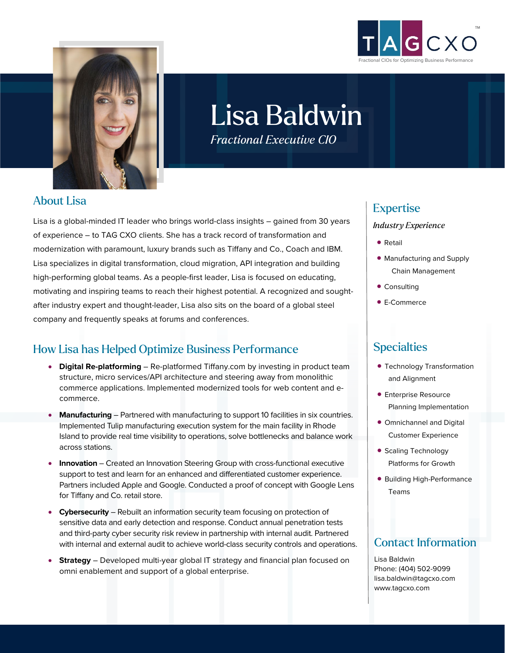



# Lisa Baldwin *Fractional Executive CIO*

About Lisa

Lisa is a global-minded IT leader who brings world-class insights – gained from 30 years of experience – to TAG CXO clients. She has a track record of transformation and modernization with paramount, luxury brands such as Tiffany and Co., Coach and IBM. Lisa specializes in digital transformation, cloud migration, API integration and building high-performing global teams. As a people-first leader, Lisa is focused on educating, motivating and inspiring teams to reach their highest potential. A recognized and soughtafter industry expert and thought-leader, Lisa also sits on the board of a global steel company and frequently speaks at forums and conferences.

### How Lisa has Helped Optimize Business Performance

- **Digital Re-platforming** Re-platformed Tiffany.com by investing in product team structure, micro services/API architecture and steering away from monolithic commerce applications. Implemented modernized tools for web content and ecommerce.
- **Manufacturing** Partnered with manufacturing to support 10 facilities in six countries. Implemented Tulip manufacturing execution system for the main facility in Rhode Island to provide real time visibility to operations, solve bottlenecks and balance work across stations.
- **Innovation** Created an Innovation Steering Group with cross-functional executive support to test and learn for an enhanced and differentiated customer experience. Partners included Apple and Google. Conducted a proof of concept with Google Lens for Tiffany and Co. retail store.
- **Cybersecurity** Rebuilt an information security team focusing on protection of sensitive data and early detection and response. Conduct annual penetration tests and third-party cyber security risk review in partnership with internal audit. Partnered with internal and external audit to achieve world-class security controls and operations.
- **Strategy** Developed multi-year global IT strategy and financial plan focused on omni enablement and support of a global enterprise.

# Expertise

#### *Industry Experience*

- Retail
- Manufacturing and Supply Chain Management
- Consulting
- E-Commerce

### **Specialties**

- Technology Transformation and Alignment
- Enterprise Resource Planning Implementation
- Omnichannel and Digital Customer Experience
- Scaling Technology Platforms for Growth
- Building High-Performance Teams

### Contact Information

Lisa Baldwin Phone: (404) 502-9099 lisa.baldwin@tagcxo.com www.tagcxo.com